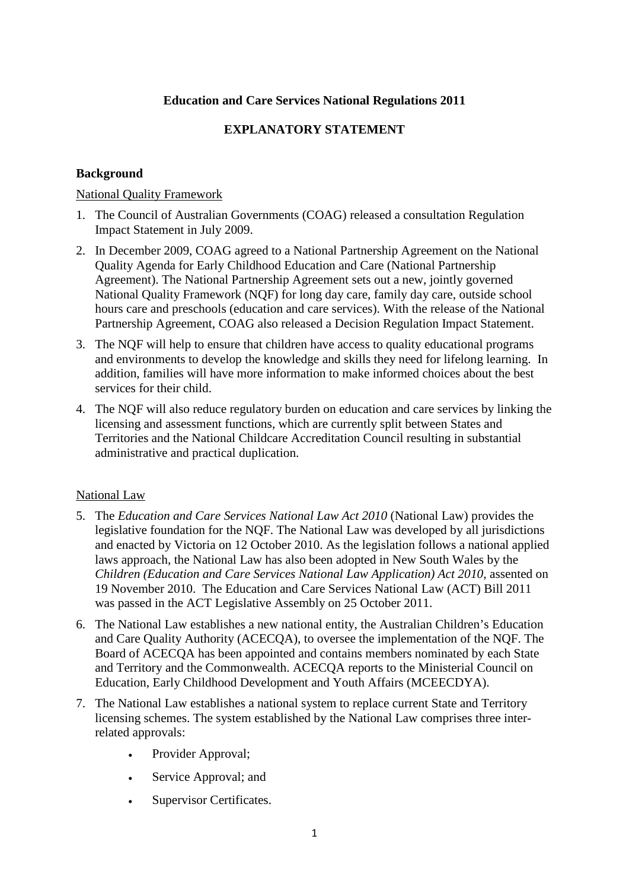#### **Education and Care Services National Regulations 2011**

### **EXPLANATORY STATEMENT**

#### **Background**

#### National Quality Framework

- 1. The Council of Australian Governments (COAG) released a consultation Regulation Impact Statement in July 2009.
- 2. In December 2009, COAG agreed to a National Partnership Agreement on the National Quality Agenda for Early Childhood Education and Care (National Partnership Agreement). The National Partnership Agreement sets out a new, jointly governed National Quality Framework (NQF) for long day care, family day care, outside school hours care and preschools (education and care services). With the release of the National Partnership Agreement, COAG also released a Decision Regulation Impact Statement.
- 3. The NQF will help to ensure that children have access to quality educational programs and environments to develop the knowledge and skills they need for lifelong learning. In addition, families will have more information to make informed choices about the best services for their child.
- 4. The NQF will also reduce regulatory burden on education and care services by linking the licensing and assessment functions, which are currently split between States and Territories and the National Childcare Accreditation Council resulting in substantial administrative and practical duplication.

#### National Law

- 5. The *Education and Care Services National Law Act 2010* (National Law) provides the legislative foundation for the NQF. The National Law was developed by all jurisdictions and enacted by Victoria on 12 October 2010. As the legislation follows a national applied laws approach, the National Law has also been adopted in New South Wales by the *Children (Education and Care Services National Law Application) Act 2010*, assented on 19 November 2010. The Education and Care Services National Law (ACT) Bill 2011 was passed in the ACT Legislative Assembly on 25 October 2011.
- 6. The National Law establishes a new national entity, the Australian Children's Education and Care Quality Authority (ACECQA), to oversee the implementation of the NQF. The Board of ACECQA has been appointed and contains members nominated by each State and Territory and the Commonwealth. ACECQA reports to the Ministerial Council on Education, Early Childhood Development and Youth Affairs (MCEECDYA).
- 7. The National Law establishes a national system to replace current State and Territory licensing schemes. The system established by the National Law comprises three interrelated approvals:
	- Provider Approval;
	- Service Approval; and
	- Supervisor Certificates.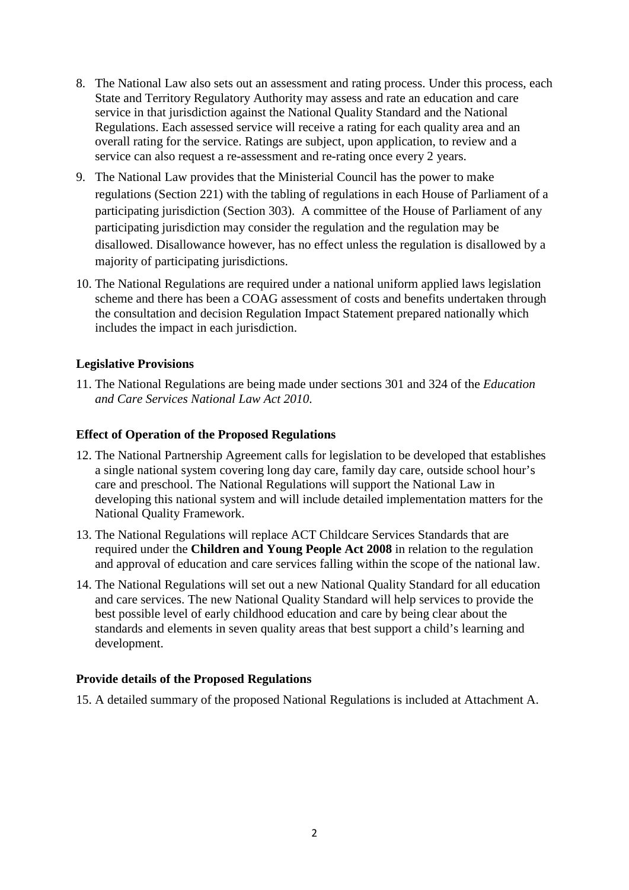- 8. The National Law also sets out an assessment and rating process. Under this process, each State and Territory Regulatory Authority may assess and rate an education and care service in that jurisdiction against the National Quality Standard and the National Regulations. Each assessed service will receive a rating for each quality area and an overall rating for the service. Ratings are subject, upon application, to review and a service can also request a re-assessment and re-rating once every 2 years.
- 9. The National Law provides that the Ministerial Council has the power to make regulations (Section 221) with the tabling of regulations in each House of Parliament of a participating jurisdiction (Section 303). A committee of the House of Parliament of any participating jurisdiction may consider the regulation and the regulation may be disallowed. Disallowance however, has no effect unless the regulation is disallowed by a majority of participating jurisdictions.
- 10. The National Regulations are required under a national uniform applied laws legislation scheme and there has been a COAG assessment of costs and benefits undertaken through the consultation and decision Regulation Impact Statement prepared nationally which includes the impact in each jurisdiction.

#### **Legislative Provisions**

11. The National Regulations are being made under sections 301 and 324 of the *Education and Care Services National Law Act 2010*.

#### **Effect of Operation of the Proposed Regulations**

- 12. The National Partnership Agreement calls for legislation to be developed that establishes a single national system covering long day care, family day care, outside school hour's care and preschool. The National Regulations will support the National Law in developing this national system and will include detailed implementation matters for the National Quality Framework.
- 13. The National Regulations will replace ACT Childcare Services Standards that are required under the **Children and Young People Act 2008** in relation to the regulation and approval of education and care services falling within the scope of the national law.
- 14. The National Regulations will set out a new National Quality Standard for all education and care services. The new National Quality Standard will help services to provide the best possible level of early childhood education and care by being clear about the standards and elements in seven quality areas that best support a child's learning and development.

#### **Provide details of the Proposed Regulations**

15. A detailed summary of the proposed National Regulations is included at Attachment A.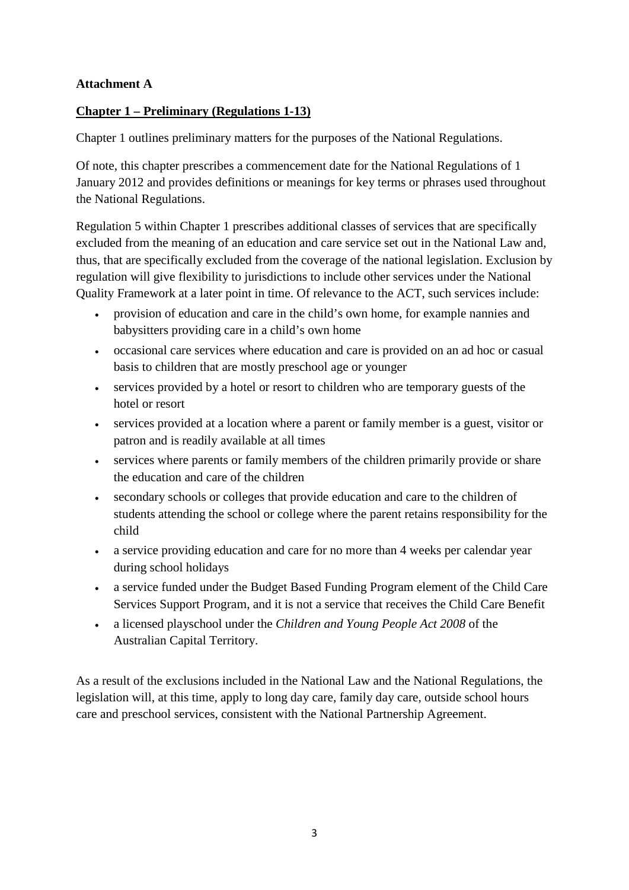## **Attachment A**

## **Chapter 1 – Preliminary (Regulations 1-13)**

Chapter 1 outlines preliminary matters for the purposes of the National Regulations.

Of note, this chapter prescribes a commencement date for the National Regulations of 1 January 2012 and provides definitions or meanings for key terms or phrases used throughout the National Regulations.

Regulation 5 within Chapter 1 prescribes additional classes of services that are specifically excluded from the meaning of an education and care service set out in the National Law and, thus, that are specifically excluded from the coverage of the national legislation. Exclusion by regulation will give flexibility to jurisdictions to include other services under the National Quality Framework at a later point in time. Of relevance to the ACT, such services include:

- provision of education and care in the child's own home, for example nannies and babysitters providing care in a child's own home
- occasional care services where education and care is provided on an ad hoc or casual basis to children that are mostly preschool age or younger
- services provided by a hotel or resort to children who are temporary guests of the hotel or resort
- services provided at a location where a parent or family member is a guest, visitor or patron and is readily available at all times
- services where parents or family members of the children primarily provide or share the education and care of the children
- secondary schools or colleges that provide education and care to the children of students attending the school or college where the parent retains responsibility for the child
- a service providing education and care for no more than 4 weeks per calendar year during school holidays
- a service funded under the Budget Based Funding Program element of the Child Care Services Support Program, and it is not a service that receives the Child Care Benefit
- a licensed playschool under the *Children and Young People Act 2008* of the Australian Capital Territory.

As a result of the exclusions included in the National Law and the National Regulations, the legislation will, at this time, apply to long day care, family day care, outside school hours care and preschool services, consistent with the National Partnership Agreement.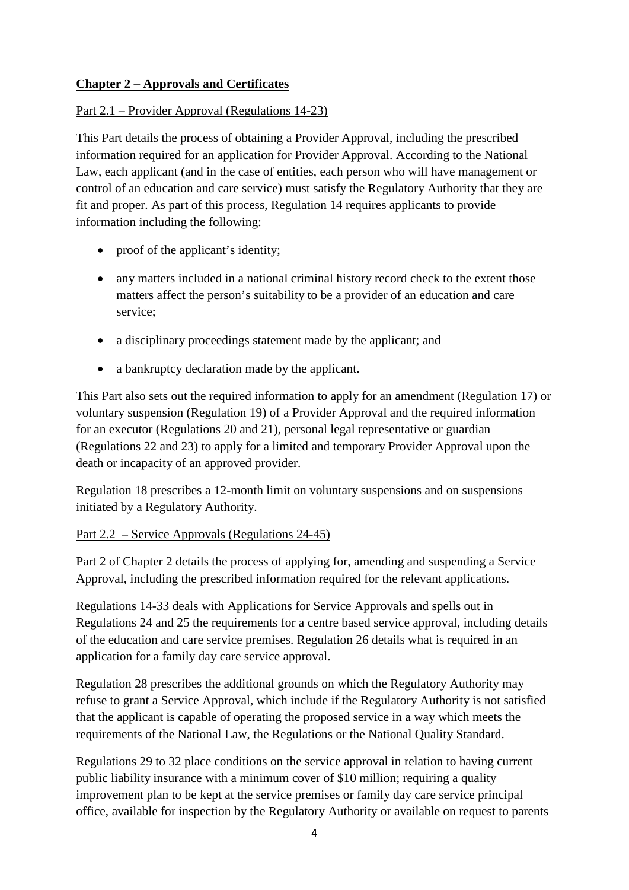# **Chapter 2 – Approvals and Certificates**

### Part 2.1 – Provider Approval (Regulations 14-23)

This Part details the process of obtaining a Provider Approval, including the prescribed information required for an application for Provider Approval. According to the National Law, each applicant (and in the case of entities, each person who will have management or control of an education and care service) must satisfy the Regulatory Authority that they are fit and proper. As part of this process, Regulation 14 requires applicants to provide information including the following:

- proof of the applicant's identity;
- any matters included in a national criminal history record check to the extent those matters affect the person's suitability to be a provider of an education and care service;
- a disciplinary proceedings statement made by the applicant; and
- a bankruptcy declaration made by the applicant.

This Part also sets out the required information to apply for an amendment (Regulation 17) or voluntary suspension (Regulation 19) of a Provider Approval and the required information for an executor (Regulations 20 and 21), personal legal representative or guardian (Regulations 22 and 23) to apply for a limited and temporary Provider Approval upon the death or incapacity of an approved provider.

Regulation 18 prescribes a 12-month limit on voluntary suspensions and on suspensions initiated by a Regulatory Authority.

### Part 2.2 – Service Approvals (Regulations 24-45)

Part 2 of Chapter 2 details the process of applying for, amending and suspending a Service Approval, including the prescribed information required for the relevant applications.

Regulations 14-33 deals with Applications for Service Approvals and spells out in Regulations 24 and 25 the requirements for a centre based service approval, including details of the education and care service premises. Regulation 26 details what is required in an application for a family day care service approval.

Regulation 28 prescribes the additional grounds on which the Regulatory Authority may refuse to grant a Service Approval, which include if the Regulatory Authority is not satisfied that the applicant is capable of operating the proposed service in a way which meets the requirements of the National Law, the Regulations or the National Quality Standard.

Regulations 29 to 32 place conditions on the service approval in relation to having current public liability insurance with a minimum cover of \$10 million; requiring a quality improvement plan to be kept at the service premises or family day care service principal office, available for inspection by the Regulatory Authority or available on request to parents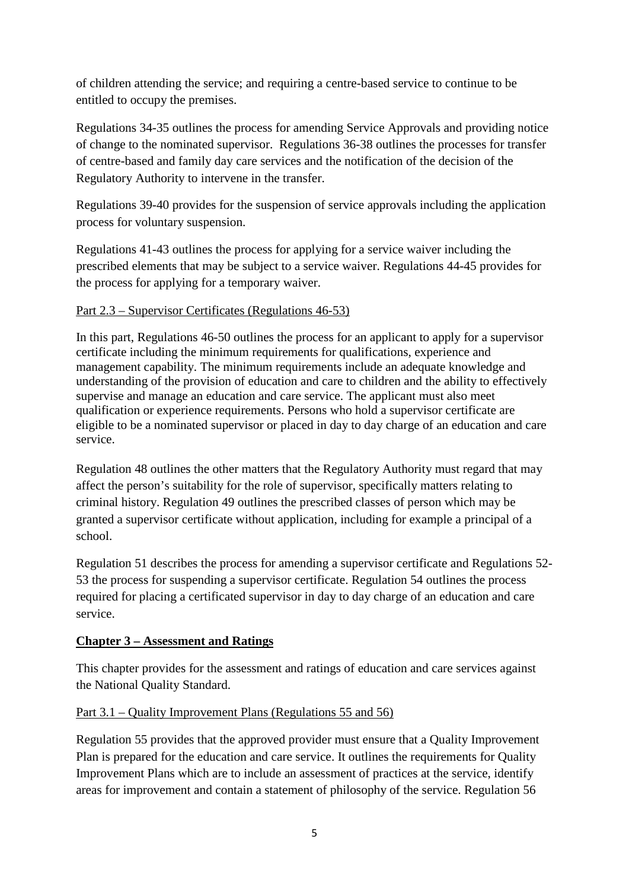of children attending the service; and requiring a centre-based service to continue to be entitled to occupy the premises.

Regulations 34-35 outlines the process for amending Service Approvals and providing notice of change to the nominated supervisor. Regulations 36-38 outlines the processes for transfer of centre-based and family day care services and the notification of the decision of the Regulatory Authority to intervene in the transfer.

Regulations 39-40 provides for the suspension of service approvals including the application process for voluntary suspension.

Regulations 41-43 outlines the process for applying for a service waiver including the prescribed elements that may be subject to a service waiver. Regulations 44-45 provides for the process for applying for a temporary waiver.

## Part 2.3 – Supervisor Certificates (Regulations 46-53)

In this part, Regulations 46-50 outlines the process for an applicant to apply for a supervisor certificate including the minimum requirements for qualifications, experience and management capability. The minimum requirements include an adequate knowledge and understanding of the provision of education and care to children and the ability to effectively supervise and manage an education and care service. The applicant must also meet qualification or experience requirements. Persons who hold a supervisor certificate are eligible to be a nominated supervisor or placed in day to day charge of an education and care service.

Regulation 48 outlines the other matters that the Regulatory Authority must regard that may affect the person's suitability for the role of supervisor, specifically matters relating to criminal history. Regulation 49 outlines the prescribed classes of person which may be granted a supervisor certificate without application, including for example a principal of a school.

Regulation 51 describes the process for amending a supervisor certificate and Regulations 52- 53 the process for suspending a supervisor certificate. Regulation 54 outlines the process required for placing a certificated supervisor in day to day charge of an education and care service.

# **Chapter 3 – Assessment and Ratings**

This chapter provides for the assessment and ratings of education and care services against the National Quality Standard.

# Part 3.1 – Quality Improvement Plans (Regulations 55 and 56)

Regulation 55 provides that the approved provider must ensure that a Quality Improvement Plan is prepared for the education and care service. It outlines the requirements for Quality Improvement Plans which are to include an assessment of practices at the service, identify areas for improvement and contain a statement of philosophy of the service. Regulation 56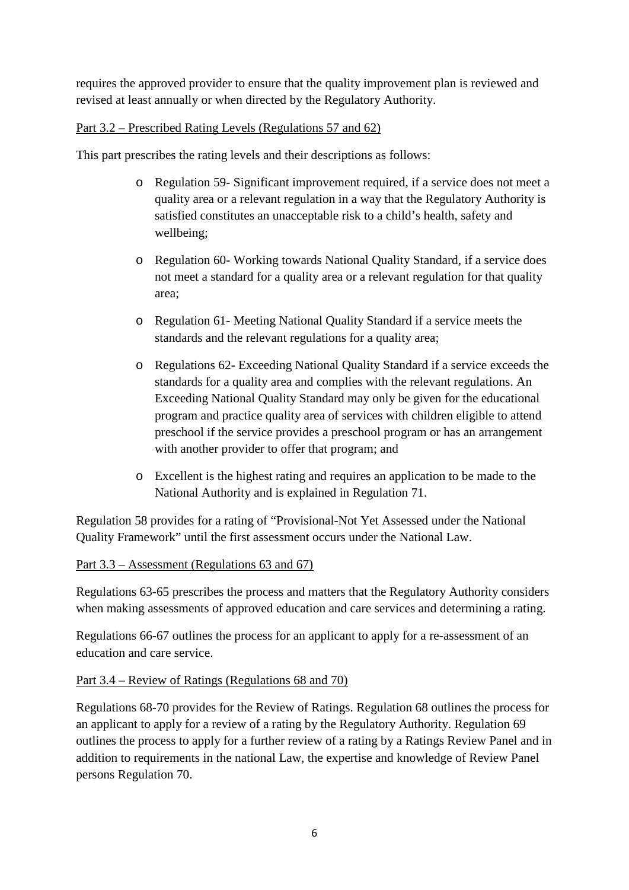requires the approved provider to ensure that the quality improvement plan is reviewed and revised at least annually or when directed by the Regulatory Authority.

# Part 3.2 – Prescribed Rating Levels (Regulations 57 and 62)

This part prescribes the rating levels and their descriptions as follows:

- o Regulation 59- Significant improvement required, if a service does not meet a quality area or a relevant regulation in a way that the Regulatory Authority is satisfied constitutes an unacceptable risk to a child's health, safety and wellbeing;
- o Regulation 60- Working towards National Quality Standard, if a service does not meet a standard for a quality area or a relevant regulation for that quality area;
- o Regulation 61- Meeting National Quality Standard if a service meets the standards and the relevant regulations for a quality area;
- o Regulations 62- Exceeding National Quality Standard if a service exceeds the standards for a quality area and complies with the relevant regulations. An Exceeding National Quality Standard may only be given for the educational program and practice quality area of services with children eligible to attend preschool if the service provides a preschool program or has an arrangement with another provider to offer that program; and
- o Excellent is the highest rating and requires an application to be made to the National Authority and is explained in Regulation 71.

Regulation 58 provides for a rating of "Provisional-Not Yet Assessed under the National Quality Framework" until the first assessment occurs under the National Law.

### Part 3.3 – Assessment (Regulations 63 and 67)

Regulations 63-65 prescribes the process and matters that the Regulatory Authority considers when making assessments of approved education and care services and determining a rating.

Regulations 66-67 outlines the process for an applicant to apply for a re-assessment of an education and care service.

# Part 3.4 – Review of Ratings (Regulations 68 and 70)

Regulations 68-70 provides for the Review of Ratings. Regulation 68 outlines the process for an applicant to apply for a review of a rating by the Regulatory Authority. Regulation 69 outlines the process to apply for a further review of a rating by a Ratings Review Panel and in addition to requirements in the national Law, the expertise and knowledge of Review Panel persons Regulation 70.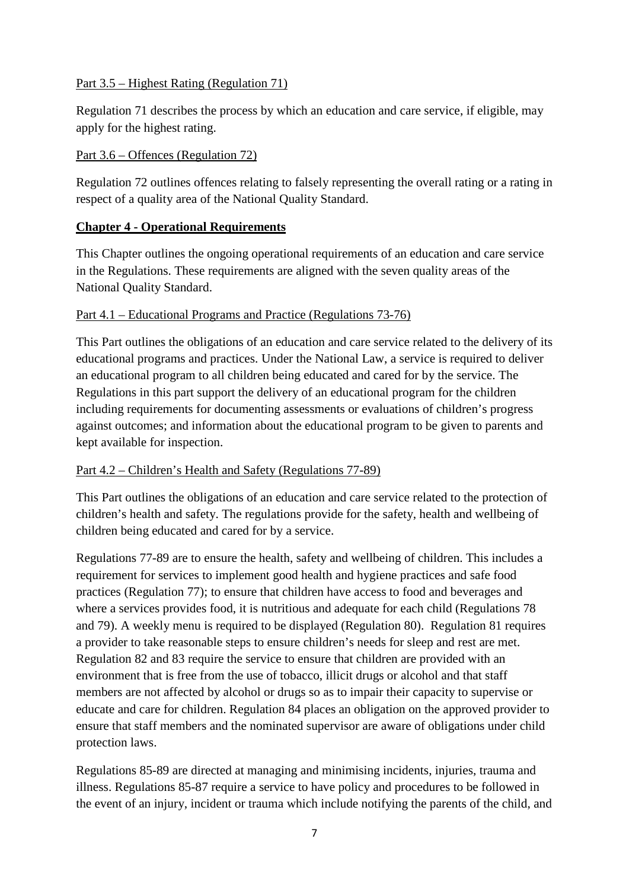### Part 3.5 – Highest Rating (Regulation 71)

Regulation 71 describes the process by which an education and care service, if eligible, may apply for the highest rating.

## Part 3.6 – Offences (Regulation 72)

Regulation 72 outlines offences relating to falsely representing the overall rating or a rating in respect of a quality area of the National Quality Standard.

# **Chapter 4 - Operational Requirements**

This Chapter outlines the ongoing operational requirements of an education and care service in the Regulations. These requirements are aligned with the seven quality areas of the National Quality Standard.

## Part 4.1 – Educational Programs and Practice (Regulations 73-76)

This Part outlines the obligations of an education and care service related to the delivery of its educational programs and practices. Under the National Law, a service is required to deliver an educational program to all children being educated and cared for by the service. The Regulations in this part support the delivery of an educational program for the children including requirements for documenting assessments or evaluations of children's progress against outcomes; and information about the educational program to be given to parents and kept available for inspection.

### Part 4.2 – Children's Health and Safety (Regulations 77-89)

This Part outlines the obligations of an education and care service related to the protection of children's health and safety. The regulations provide for the safety, health and wellbeing of children being educated and cared for by a service.

Regulations 77-89 are to ensure the health, safety and wellbeing of children. This includes a requirement for services to implement good health and hygiene practices and safe food practices (Regulation 77); to ensure that children have access to food and beverages and where a services provides food, it is nutritious and adequate for each child (Regulations 78 and 79). A weekly menu is required to be displayed (Regulation 80). Regulation 81 requires a provider to take reasonable steps to ensure children's needs for sleep and rest are met. Regulation 82 and 83 require the service to ensure that children are provided with an environment that is free from the use of tobacco, illicit drugs or alcohol and that staff members are not affected by alcohol or drugs so as to impair their capacity to supervise or educate and care for children. Regulation 84 places an obligation on the approved provider to ensure that staff members and the nominated supervisor are aware of obligations under child protection laws.

Regulations 85-89 are directed at managing and minimising incidents, injuries, trauma and illness. Regulations 85-87 require a service to have policy and procedures to be followed in the event of an injury, incident or trauma which include notifying the parents of the child, and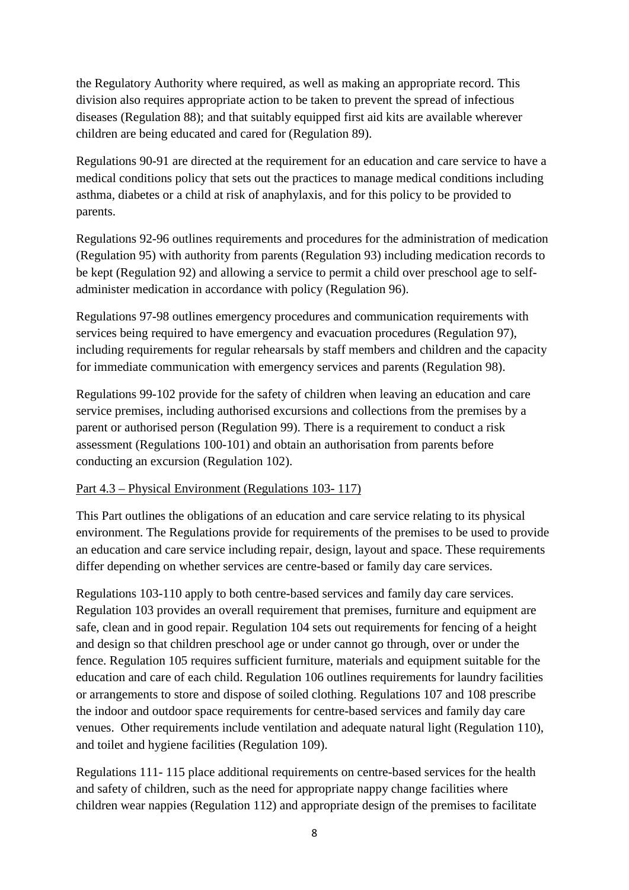the Regulatory Authority where required, as well as making an appropriate record. This division also requires appropriate action to be taken to prevent the spread of infectious diseases (Regulation 88); and that suitably equipped first aid kits are available wherever children are being educated and cared for (Regulation 89).

Regulations 90-91 are directed at the requirement for an education and care service to have a medical conditions policy that sets out the practices to manage medical conditions including asthma, diabetes or a child at risk of anaphylaxis, and for this policy to be provided to parents.

Regulations 92-96 outlines requirements and procedures for the administration of medication (Regulation 95) with authority from parents (Regulation 93) including medication records to be kept (Regulation 92) and allowing a service to permit a child over preschool age to selfadminister medication in accordance with policy (Regulation 96).

Regulations 97-98 outlines emergency procedures and communication requirements with services being required to have emergency and evacuation procedures (Regulation 97), including requirements for regular rehearsals by staff members and children and the capacity for immediate communication with emergency services and parents (Regulation 98).

Regulations 99-102 provide for the safety of children when leaving an education and care service premises, including authorised excursions and collections from the premises by a parent or authorised person (Regulation 99). There is a requirement to conduct a risk assessment (Regulations 100-101) and obtain an authorisation from parents before conducting an excursion (Regulation 102).

### Part 4.3 – Physical Environment (Regulations 103- 117)

This Part outlines the obligations of an education and care service relating to its physical environment. The Regulations provide for requirements of the premises to be used to provide an education and care service including repair, design, layout and space. These requirements differ depending on whether services are centre-based or family day care services.

Regulations 103-110 apply to both centre-based services and family day care services. Regulation 103 provides an overall requirement that premises, furniture and equipment are safe, clean and in good repair. Regulation 104 sets out requirements for fencing of a height and design so that children preschool age or under cannot go through, over or under the fence. Regulation 105 requires sufficient furniture, materials and equipment suitable for the education and care of each child. Regulation 106 outlines requirements for laundry facilities or arrangements to store and dispose of soiled clothing. Regulations 107 and 108 prescribe the indoor and outdoor space requirements for centre-based services and family day care venues. Other requirements include ventilation and adequate natural light (Regulation 110), and toilet and hygiene facilities (Regulation 109).

Regulations 111- 115 place additional requirements on centre-based services for the health and safety of children, such as the need for appropriate nappy change facilities where children wear nappies (Regulation 112) and appropriate design of the premises to facilitate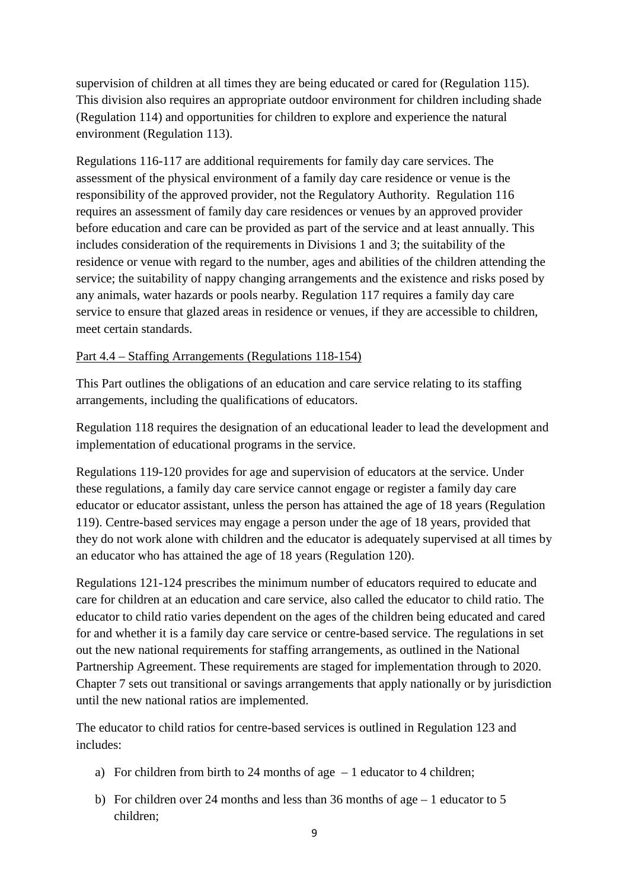supervision of children at all times they are being educated or cared for (Regulation 115). This division also requires an appropriate outdoor environment for children including shade (Regulation 114) and opportunities for children to explore and experience the natural environment (Regulation 113).

Regulations 116-117 are additional requirements for family day care services. The assessment of the physical environment of a family day care residence or venue is the responsibility of the approved provider, not the Regulatory Authority. Regulation 116 requires an assessment of family day care residences or venues by an approved provider before education and care can be provided as part of the service and at least annually. This includes consideration of the requirements in Divisions 1 and 3; the suitability of the residence or venue with regard to the number, ages and abilities of the children attending the service; the suitability of nappy changing arrangements and the existence and risks posed by any animals, water hazards or pools nearby. Regulation 117 requires a family day care service to ensure that glazed areas in residence or venues, if they are accessible to children, meet certain standards.

### Part 4.4 – Staffing Arrangements (Regulations 118-154)

This Part outlines the obligations of an education and care service relating to its staffing arrangements, including the qualifications of educators.

Regulation 118 requires the designation of an educational leader to lead the development and implementation of educational programs in the service.

Regulations 119-120 provides for age and supervision of educators at the service. Under these regulations, a family day care service cannot engage or register a family day care educator or educator assistant, unless the person has attained the age of 18 years (Regulation 119). Centre-based services may engage a person under the age of 18 years, provided that they do not work alone with children and the educator is adequately supervised at all times by an educator who has attained the age of 18 years (Regulation 120).

Regulations 121-124 prescribes the minimum number of educators required to educate and care for children at an education and care service, also called the educator to child ratio. The educator to child ratio varies dependent on the ages of the children being educated and cared for and whether it is a family day care service or centre-based service. The regulations in set out the new national requirements for staffing arrangements, as outlined in the National Partnership Agreement. These requirements are staged for implementation through to 2020. Chapter 7 sets out transitional or savings arrangements that apply nationally or by jurisdiction until the new national ratios are implemented.

The educator to child ratios for centre-based services is outlined in Regulation 123 and includes:

- a) For children from birth to 24 months of age  $-1$  educator to 4 children;
- b) For children over 24 months and less than 36 months of age 1 educator to 5 children;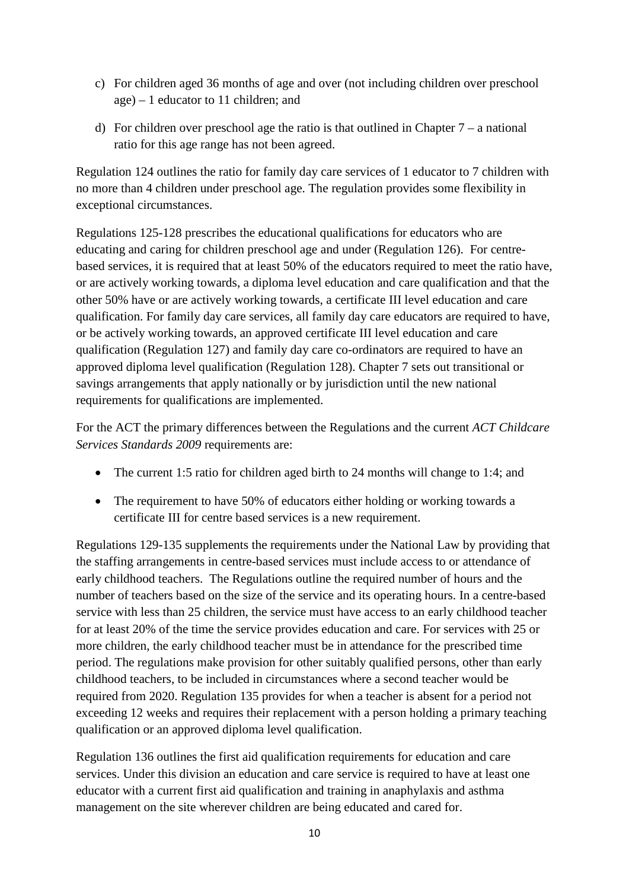- c) For children aged 36 months of age and over (not including children over preschool age) – 1 educator to 11 children; and
- d) For children over preschool age the ratio is that outlined in Chapter  $7 a$  national ratio for this age range has not been agreed.

Regulation 124 outlines the ratio for family day care services of 1 educator to 7 children with no more than 4 children under preschool age. The regulation provides some flexibility in exceptional circumstances.

Regulations 125-128 prescribes the educational qualifications for educators who are educating and caring for children preschool age and under (Regulation 126). For centrebased services, it is required that at least 50% of the educators required to meet the ratio have, or are actively working towards, a diploma level education and care qualification and that the other 50% have or are actively working towards, a certificate III level education and care qualification. For family day care services, all family day care educators are required to have, or be actively working towards, an approved certificate III level education and care qualification (Regulation 127) and family day care co-ordinators are required to have an approved diploma level qualification (Regulation 128). Chapter 7 sets out transitional or savings arrangements that apply nationally or by jurisdiction until the new national requirements for qualifications are implemented.

For the ACT the primary differences between the Regulations and the current *ACT Childcare Services Standards 2009* requirements are:

- The current 1:5 ratio for children aged birth to 24 months will change to 1:4; and
- The requirement to have 50% of educators either holding or working towards a certificate III for centre based services is a new requirement.

Regulations 129-135 supplements the requirements under the National Law by providing that the staffing arrangements in centre-based services must include access to or attendance of early childhood teachers. The Regulations outline the required number of hours and the number of teachers based on the size of the service and its operating hours. In a centre-based service with less than 25 children, the service must have access to an early childhood teacher for at least 20% of the time the service provides education and care. For services with 25 or more children, the early childhood teacher must be in attendance for the prescribed time period. The regulations make provision for other suitably qualified persons, other than early childhood teachers, to be included in circumstances where a second teacher would be required from 2020. Regulation 135 provides for when a teacher is absent for a period not exceeding 12 weeks and requires their replacement with a person holding a primary teaching qualification or an approved diploma level qualification.

Regulation 136 outlines the first aid qualification requirements for education and care services. Under this division an education and care service is required to have at least one educator with a current first aid qualification and training in anaphylaxis and asthma management on the site wherever children are being educated and cared for.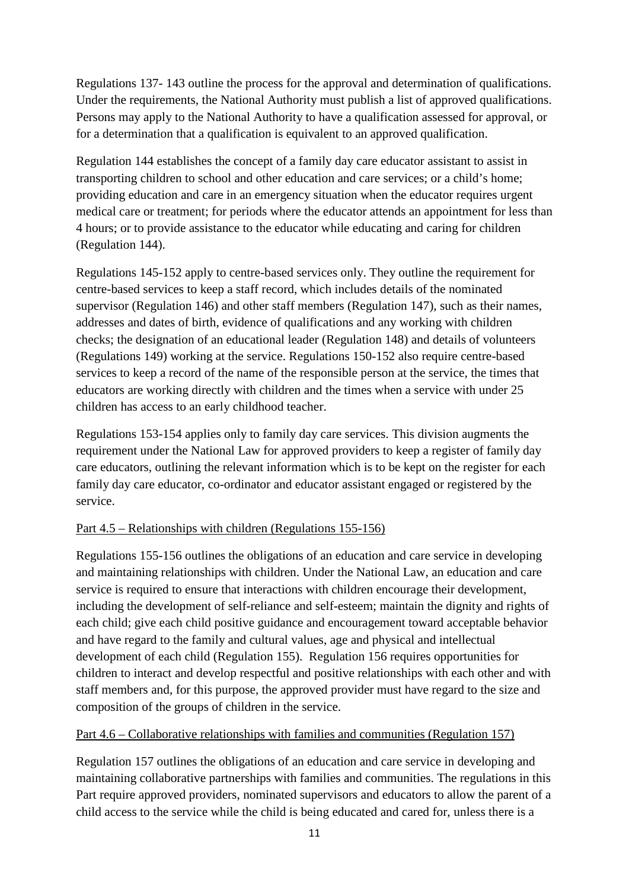Regulations 137- 143 outline the process for the approval and determination of qualifications. Under the requirements, the National Authority must publish a list of approved qualifications. Persons may apply to the National Authority to have a qualification assessed for approval, or for a determination that a qualification is equivalent to an approved qualification.

Regulation 144 establishes the concept of a family day care educator assistant to assist in transporting children to school and other education and care services; or a child's home; providing education and care in an emergency situation when the educator requires urgent medical care or treatment; for periods where the educator attends an appointment for less than 4 hours; or to provide assistance to the educator while educating and caring for children (Regulation 144).

Regulations 145-152 apply to centre-based services only. They outline the requirement for centre-based services to keep a staff record, which includes details of the nominated supervisor (Regulation 146) and other staff members (Regulation 147), such as their names, addresses and dates of birth, evidence of qualifications and any working with children checks; the designation of an educational leader (Regulation 148) and details of volunteers (Regulations 149) working at the service. Regulations 150-152 also require centre-based services to keep a record of the name of the responsible person at the service, the times that educators are working directly with children and the times when a service with under 25 children has access to an early childhood teacher.

Regulations 153-154 applies only to family day care services. This division augments the requirement under the National Law for approved providers to keep a register of family day care educators, outlining the relevant information which is to be kept on the register for each family day care educator, co-ordinator and educator assistant engaged or registered by the service.

# Part 4.5 – Relationships with children (Regulations 155-156)

Regulations 155-156 outlines the obligations of an education and care service in developing and maintaining relationships with children. Under the National Law, an education and care service is required to ensure that interactions with children encourage their development, including the development of self-reliance and self-esteem; maintain the dignity and rights of each child; give each child positive guidance and encouragement toward acceptable behavior and have regard to the family and cultural values, age and physical and intellectual development of each child (Regulation 155). Regulation 156 requires opportunities for children to interact and develop respectful and positive relationships with each other and with staff members and, for this purpose, the approved provider must have regard to the size and composition of the groups of children in the service.

# Part 4.6 – Collaborative relationships with families and communities (Regulation 157)

Regulation 157 outlines the obligations of an education and care service in developing and maintaining collaborative partnerships with families and communities. The regulations in this Part require approved providers, nominated supervisors and educators to allow the parent of a child access to the service while the child is being educated and cared for, unless there is a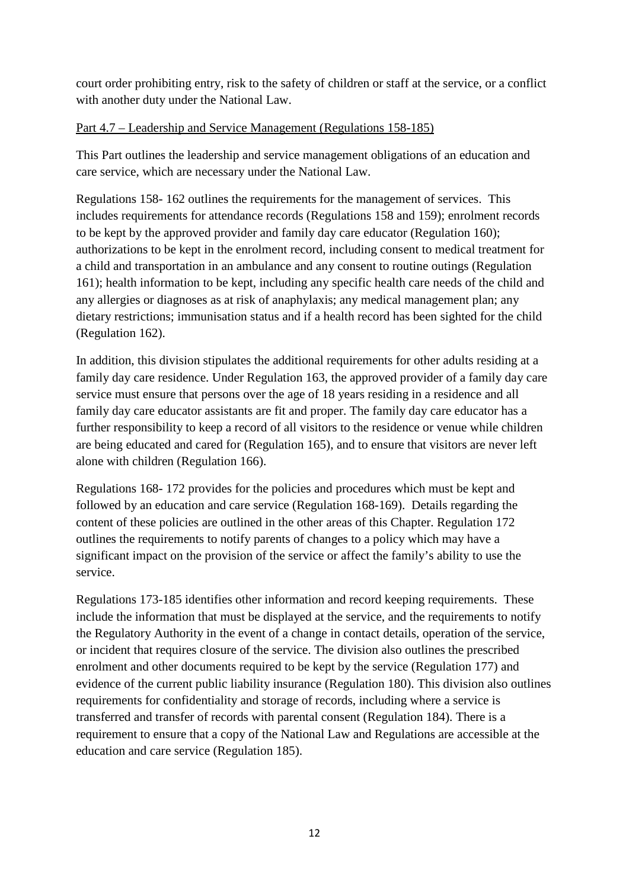court order prohibiting entry, risk to the safety of children or staff at the service, or a conflict with another duty under the National Law.

## Part 4.7 – Leadership and Service Management (Regulations 158-185)

This Part outlines the leadership and service management obligations of an education and care service, which are necessary under the National Law.

Regulations 158- 162 outlines the requirements for the management of services. This includes requirements for attendance records (Regulations 158 and 159); enrolment records to be kept by the approved provider and family day care educator (Regulation 160); authorizations to be kept in the enrolment record, including consent to medical treatment for a child and transportation in an ambulance and any consent to routine outings (Regulation 161); health information to be kept, including any specific health care needs of the child and any allergies or diagnoses as at risk of anaphylaxis; any medical management plan; any dietary restrictions; immunisation status and if a health record has been sighted for the child (Regulation 162).

In addition, this division stipulates the additional requirements for other adults residing at a family day care residence. Under Regulation 163, the approved provider of a family day care service must ensure that persons over the age of 18 years residing in a residence and all family day care educator assistants are fit and proper. The family day care educator has a further responsibility to keep a record of all visitors to the residence or venue while children are being educated and cared for (Regulation 165), and to ensure that visitors are never left alone with children (Regulation 166).

Regulations 168- 172 provides for the policies and procedures which must be kept and followed by an education and care service (Regulation 168-169). Details regarding the content of these policies are outlined in the other areas of this Chapter. Regulation 172 outlines the requirements to notify parents of changes to a policy which may have a significant impact on the provision of the service or affect the family's ability to use the service.

Regulations 173-185 identifies other information and record keeping requirements. These include the information that must be displayed at the service, and the requirements to notify the Regulatory Authority in the event of a change in contact details, operation of the service, or incident that requires closure of the service. The division also outlines the prescribed enrolment and other documents required to be kept by the service (Regulation 177) and evidence of the current public liability insurance (Regulation 180). This division also outlines requirements for confidentiality and storage of records, including where a service is transferred and transfer of records with parental consent (Regulation 184). There is a requirement to ensure that a copy of the National Law and Regulations are accessible at the education and care service (Regulation 185).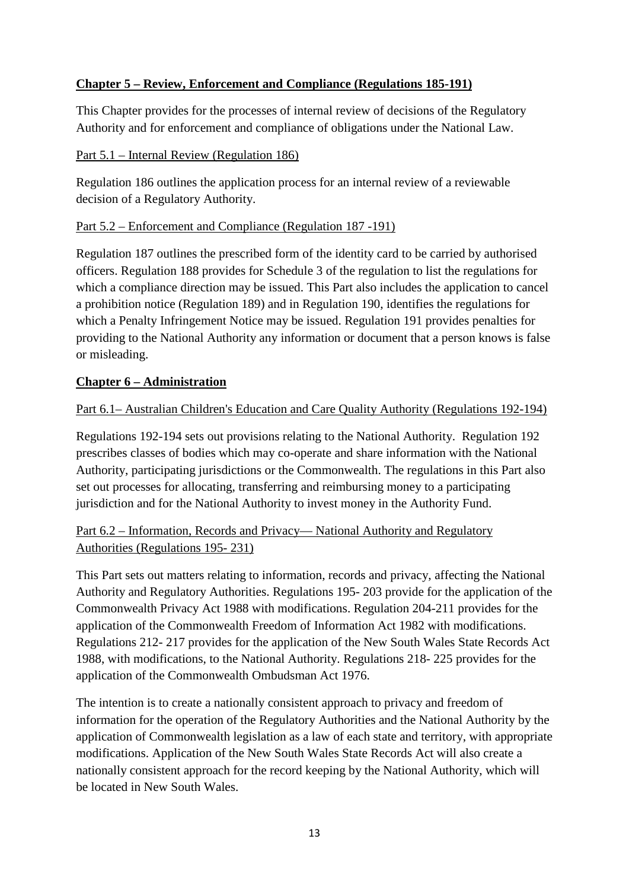# **Chapter 5 – Review, Enforcement and Compliance (Regulations 185-191)**

This Chapter provides for the processes of internal review of decisions of the Regulatory Authority and for enforcement and compliance of obligations under the National Law.

#### Part 5.1 – Internal Review (Regulation 186)

Regulation 186 outlines the application process for an internal review of a reviewable decision of a Regulatory Authority.

### Part 5.2 – Enforcement and Compliance (Regulation 187 -191)

Regulation 187 outlines the prescribed form of the identity card to be carried by authorised officers. Regulation 188 provides for Schedule 3 of the regulation to list the regulations for which a compliance direction may be issued. This Part also includes the application to cancel a prohibition notice (Regulation 189) and in Regulation 190, identifies the regulations for which a Penalty Infringement Notice may be issued. Regulation 191 provides penalties for providing to the National Authority any information or document that a person knows is false or misleading.

### **Chapter 6 – Administration**

## Part 6.1– Australian Children's Education and Care Quality Authority (Regulations 192-194)

Regulations 192-194 sets out provisions relating to the National Authority. Regulation 192 prescribes classes of bodies which may co-operate and share information with the National Authority, participating jurisdictions or the Commonwealth. The regulations in this Part also set out processes for allocating, transferring and reimbursing money to a participating jurisdiction and for the National Authority to invest money in the Authority Fund.

# Part 6.2 – Information, Records and Privacy— National Authority and Regulatory Authorities (Regulations 195- 231)

This Part sets out matters relating to information, records and privacy, affecting the National Authority and Regulatory Authorities. Regulations 195- 203 provide for the application of the Commonwealth Privacy Act 1988 with modifications. Regulation 204-211 provides for the application of the Commonwealth Freedom of Information Act 1982 with modifications. Regulations 212- 217 provides for the application of the New South Wales State Records Act 1988, with modifications, to the National Authority. Regulations 218- 225 provides for the application of the Commonwealth Ombudsman Act 1976.

The intention is to create a nationally consistent approach to privacy and freedom of information for the operation of the Regulatory Authorities and the National Authority by the application of Commonwealth legislation as a law of each state and territory, with appropriate modifications. Application of the New South Wales State Records Act will also create a nationally consistent approach for the record keeping by the National Authority, which will be located in New South Wales.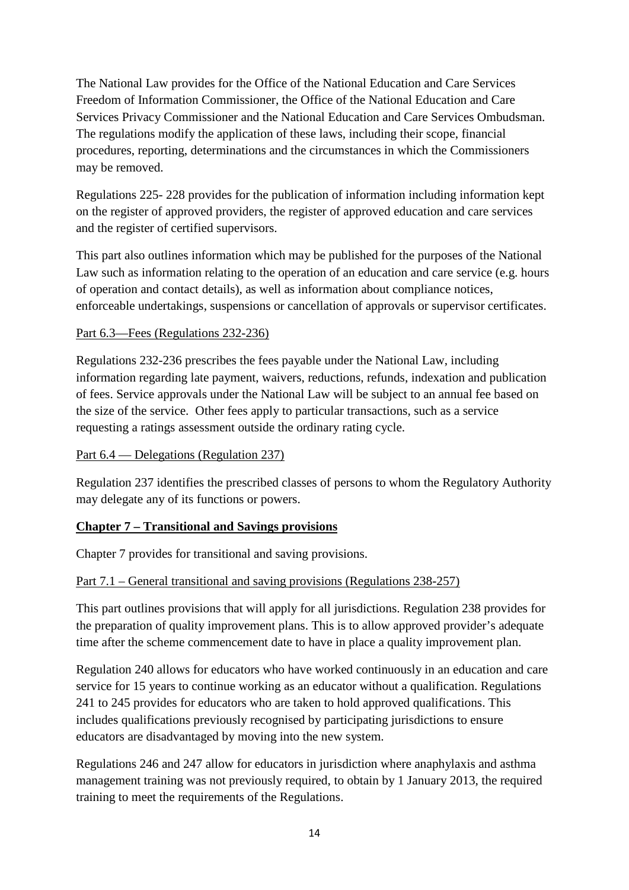The National Law provides for the Office of the National Education and Care Services Freedom of Information Commissioner, the Office of the National Education and Care Services Privacy Commissioner and the National Education and Care Services Ombudsman. The regulations modify the application of these laws, including their scope, financial procedures, reporting, determinations and the circumstances in which the Commissioners may be removed.

Regulations 225- 228 provides for the publication of information including information kept on the register of approved providers, the register of approved education and care services and the register of certified supervisors.

This part also outlines information which may be published for the purposes of the National Law such as information relating to the operation of an education and care service (e.g. hours of operation and contact details), as well as information about compliance notices, enforceable undertakings, suspensions or cancellation of approvals or supervisor certificates.

## Part 6.3—Fees (Regulations 232-236)

Regulations 232-236 prescribes the fees payable under the National Law, including information regarding late payment, waivers, reductions, refunds, indexation and publication of fees. Service approvals under the National Law will be subject to an annual fee based on the size of the service. Other fees apply to particular transactions, such as a service requesting a ratings assessment outside the ordinary rating cycle.

### Part 6.4 — Delegations (Regulation 237)

Regulation 237 identifies the prescribed classes of persons to whom the Regulatory Authority may delegate any of its functions or powers.

# **Chapter 7 – Transitional and Savings provisions**

Chapter 7 provides for transitional and saving provisions.

# Part 7.1 – General transitional and saving provisions (Regulations 238-257)

This part outlines provisions that will apply for all jurisdictions. Regulation 238 provides for the preparation of quality improvement plans. This is to allow approved provider's adequate time after the scheme commencement date to have in place a quality improvement plan.

Regulation 240 allows for educators who have worked continuously in an education and care service for 15 years to continue working as an educator without a qualification. Regulations 241 to 245 provides for educators who are taken to hold approved qualifications. This includes qualifications previously recognised by participating jurisdictions to ensure educators are disadvantaged by moving into the new system.

Regulations 246 and 247 allow for educators in jurisdiction where anaphylaxis and asthma management training was not previously required, to obtain by 1 January 2013, the required training to meet the requirements of the Regulations.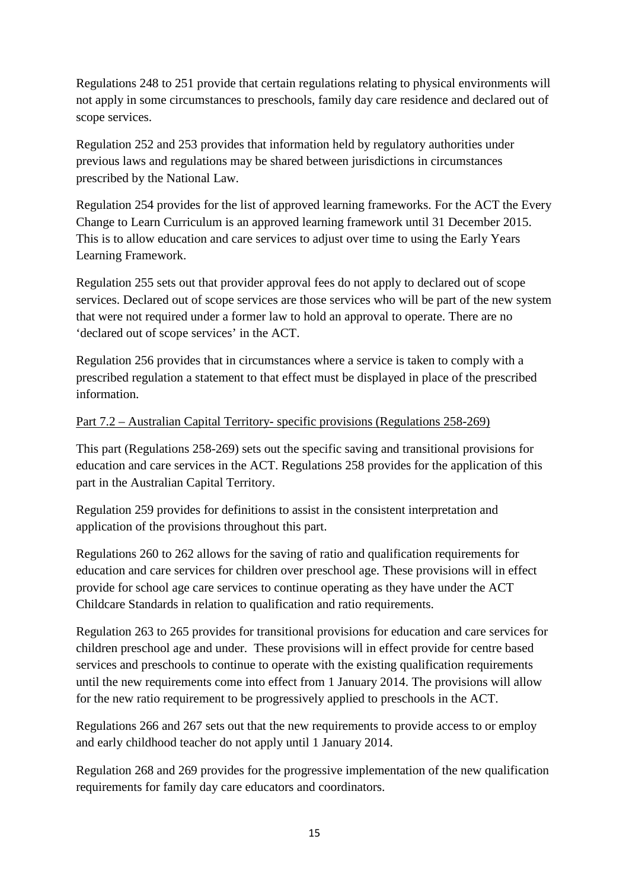Regulations 248 to 251 provide that certain regulations relating to physical environments will not apply in some circumstances to preschools, family day care residence and declared out of scope services.

Regulation 252 and 253 provides that information held by regulatory authorities under previous laws and regulations may be shared between jurisdictions in circumstances prescribed by the National Law.

Regulation 254 provides for the list of approved learning frameworks. For the ACT the Every Change to Learn Curriculum is an approved learning framework until 31 December 2015. This is to allow education and care services to adjust over time to using the Early Years Learning Framework.

Regulation 255 sets out that provider approval fees do not apply to declared out of scope services. Declared out of scope services are those services who will be part of the new system that were not required under a former law to hold an approval to operate. There are no 'declared out of scope services' in the ACT.

Regulation 256 provides that in circumstances where a service is taken to comply with a prescribed regulation a statement to that effect must be displayed in place of the prescribed information.

### Part 7.2 – Australian Capital Territory- specific provisions (Regulations 258-269)

This part (Regulations 258-269) sets out the specific saving and transitional provisions for education and care services in the ACT. Regulations 258 provides for the application of this part in the Australian Capital Territory.

Regulation 259 provides for definitions to assist in the consistent interpretation and application of the provisions throughout this part.

Regulations 260 to 262 allows for the saving of ratio and qualification requirements for education and care services for children over preschool age. These provisions will in effect provide for school age care services to continue operating as they have under the ACT Childcare Standards in relation to qualification and ratio requirements.

Regulation 263 to 265 provides for transitional provisions for education and care services for children preschool age and under. These provisions will in effect provide for centre based services and preschools to continue to operate with the existing qualification requirements until the new requirements come into effect from 1 January 2014. The provisions will allow for the new ratio requirement to be progressively applied to preschools in the ACT.

Regulations 266 and 267 sets out that the new requirements to provide access to or employ and early childhood teacher do not apply until 1 January 2014.

Regulation 268 and 269 provides for the progressive implementation of the new qualification requirements for family day care educators and coordinators.